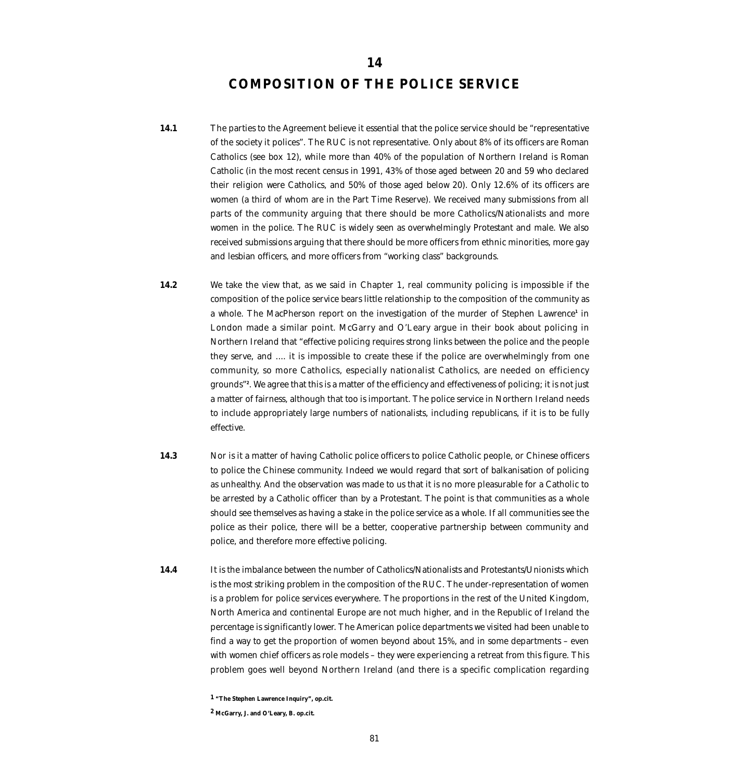## **14 COMPOSITION OF THE POLICE SERVICE**

- **14.1** The parties to the Agreement believe it essential that the police service should be "representative of the society it polices". The RUC is not representative. Only about 8% of its officers are Roman Catholics (see box 12), while more than 40% of the population of Northern Ireland is Roman Catholic (in the most recent census in 1991, 43% of those aged between 20 and 59 who declared their religion were Catholics, and 50% of those aged below 20). Only 12.6% of its officers are women (a third of whom are in the Part Time Reserve). We received many submissions from all parts of the community arguing that there should be more Catholics/Nationalists and more women in the police. The RUC is widely seen as overwhelmingly Protestant and male. We also received submissions arguing that there should be more officers from ethnic minorities, more gay and lesbian officers, and more officers from "working class" backgrounds.
- **14.2** We take the view that, as we said in Chapter 1, real community policing is impossible if the composition of the police service bears little relationship to the composition of the community as a whole. The MacPherson report on the investigation of the murder of Stephen Lawrence**<sup>1</sup>** in London made a similar point. McGarry and O'Leary argue in their book about policing in Northern Ireland that "effective policing requires strong links between the police and the people they serve, and .... it is impossible to create these if the police are overwhelmingly from one community, so more Catholics, especially nationalist Catholics, are needed on efficiency grounds"**<sup>2</sup>** . We agree that this is a matter of the efficiency and effectiveness of policing; it is not just a matter of fairness, although that too is important. The police service in Northern Ireland needs to include appropriately large numbers of nationalists, including republicans, if it is to be fully effective.
- **14.3** Nor is it a matter of having Catholic police officers to police Catholic people, or Chinese officers to police the Chinese community. Indeed we would regard that sort of balkanisation of policing as unhealthy. And the observation was made to us that it is no more pleasurable for a Catholic to be arrested by a Catholic officer than by a Protestant. The point is that communities as a whole should see themselves as having a stake in the police service as a whole. If all communities see the police as their police, there will be a better, cooperative partnership between community and police, and therefore more effective policing.
- **14.4** It is the imbalance between the number of Catholics/Nationalists and Protestants/Unionists which is the most striking problem in the composition of the RUC. The under-representation of women is a problem for police services everywhere. The proportions in the rest of the United Kingdom, North America and continental Europe are not much higher, and in the Republic of Ireland the percentage is significantly lower. The American police departments we visited had been unable to find a way to get the proportion of women beyond about 15%, and in some departments – even with women chief officers as role models – they were experiencing a retreat from this figure. This problem goes well beyond Northern Ireland (and there is a specific complication regarding
	- **1 "The Stephen Lawrence Inquiry", op.cit.**

**<sup>2</sup> McGarry, J. and O'Leary, B. op.cit.**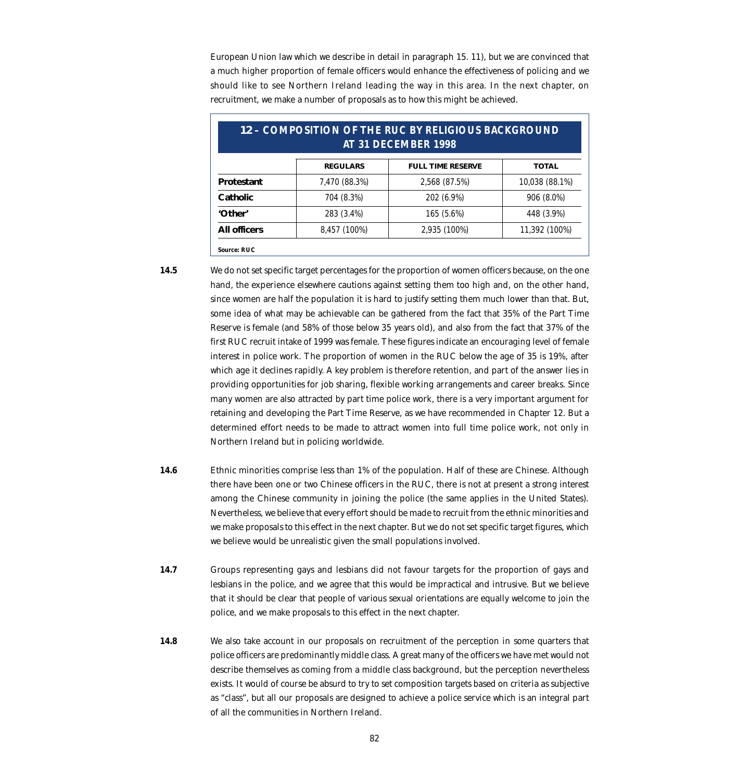European Union law which we describe in detail in paragraph 15. 11), but we are convinced that a much higher proportion of female officers would enhance the effectiveness of policing and we should like to see Northern Ireland leading the way in this area. In the next chapter, on recruitment, we make a number of proposals as to how this might be achieved.

| 12 – COMPOSITION OF THE RUC BY RELIGIOUS BACKGROUND<br>AT 31 DECEMBER 1998 |                 |                          |                |
|----------------------------------------------------------------------------|-----------------|--------------------------|----------------|
|                                                                            | <b>REGULARS</b> | <b>FULL TIME RESERVE</b> | <b>TOTAL</b>   |
| Protestant                                                                 | 7,470 (88.3%)   | 2,568 (87.5%)            | 10,038 (88.1%) |
| Catholic                                                                   | 704 (8.3%)      | 202 (6.9%)               | 906 (8.0%)     |
| 'Other'                                                                    | 283 (3.4%)      | 165 (5.6%)               | 448 (3.9%)     |
| <b>All officers</b>                                                        | 8,457 (100%)    | 2,935 (100%)             | 11,392 (100%)  |
| Source: RUC                                                                |                 |                          |                |

**14.5** We do not set specific target percentages for the proportion of women officers because, on the one hand, the experience elsewhere cautions against setting them too high and, on the other hand, since women are half the population it is hard to justify setting them much lower than that. But, some idea of what may be achievable can be gathered from the fact that 35% of the Part Time Reserve is female (and 58% of those below 35 years old), and also from the fact that 37% of the first RUC recruit intake of 1999 was female. These figures indicate an encouraging level of female interest in police work. The proportion of women in the RUC below the age of 35 is 19%, after which age it declines rapidly. A key problem is therefore retention, and part of the answer lies in providing opportunities for job sharing, flexible working arrangements and career breaks. Since many women are also attracted by part time police work, there is a very important argument for retaining and developing the Part Time Reserve, as we have recommended in Chapter 12. But a determined effort needs to be made to attract women into full time police work, not only in Northern Ireland but in policing worldwide.

- **14.6** Ethnic minorities comprise less than 1% of the population. Half of these are Chinese. Although there have been one or two Chinese officers in the RUC, there is not at present a strong interest among the Chinese community in joining the police (the same applies in the United States). Nevertheless, we believe that every effort should be made to recruit from the ethnic minorities and we make proposals to this effect in the next chapter. But we do not set specific target figures, which we believe would be unrealistic given the small populations involved.
- **14.7** Groups representing gays and lesbians did not favour targets for the proportion of gays and lesbians in the police, and we agree that this would be impractical and intrusive. But we believe that it should be clear that people of various sexual orientations are equally welcome to join the police, and we make proposals to this effect in the next chapter.
- **14.8** We also take account in our proposals on recruitment of the perception in some quarters that police officers are predominantly middle class. A great many of the officers we have met would not describe themselves as coming from a middle class background, but the perception nevertheless exists. It would of course be absurd to try to set composition targets based on criteria as subjective as "class", but all our proposals are designed to achieve a police service which is an integral part of all the communities in Northern Ireland.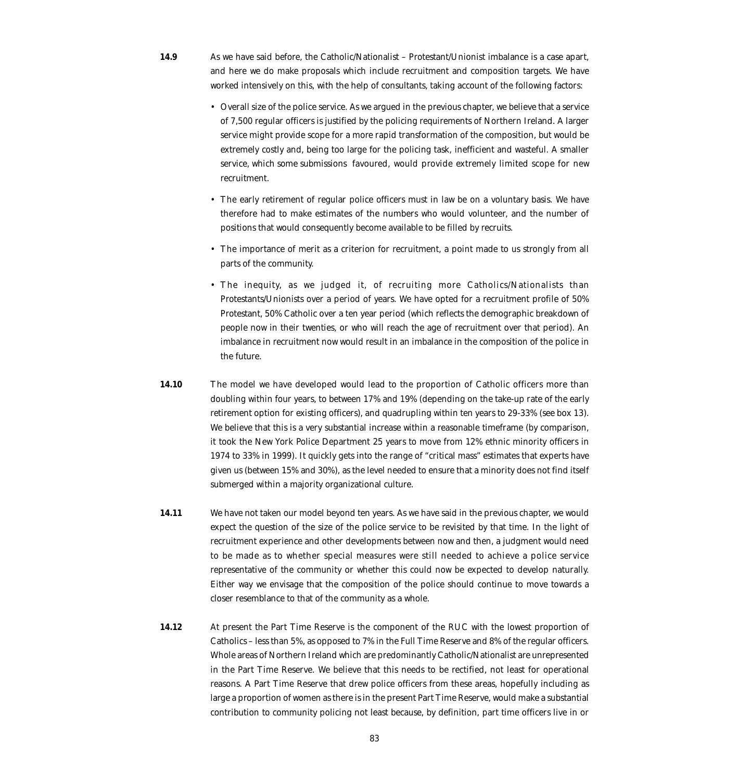- **14.9** As we have said before, the Catholic/Nationalist Protestant/Unionist imbalance is a case apart, and here we do make proposals which include recruitment and composition targets. We have worked intensively on this, with the help of consultants, taking account of the following factors:
	- Overall size of the police service. As we argued in the previous chapter, we believe that a service of 7,500 regular officers is justified by the policing requirements of Northern Ireland. A larger service might provide scope for a more rapid transformation of the composition, but would be extremely costly and, being too large for the policing task, inefficient and wasteful. A smaller service, which some submissions favoured, would provide extremely limited scope for new recruitment.
	- The early retirement of regular police officers must in law be on a voluntary basis. We have therefore had to make estimates of the numbers who would volunteer, and the number of positions that would consequently become available to be filled by recruits.
	- The importance of merit as a criterion for recruitment, a point made to us strongly from all parts of the community.
	- The inequity, as we judged it, of recruiting more Catholics/Nationalists than Protestants/Unionists over a period of years. We have opted for a recruitment profile of 50% Protestant, 50% Catholic over a ten year period (which reflects the demographic breakdown of people now in their twenties, or who will reach the age of recruitment over that period). An imbalance in recruitment now would result in an imbalance in the composition of the police in the future.
- **14.10** The model we have developed would lead to the proportion of Catholic officers more than doubling within four years, to between 17% and 19% (depending on the take-up rate of the early retirement option for existing officers), and quadrupling within ten years to 29-33% (see box 13). We believe that this is a very substantial increase within a reasonable timeframe (by comparison, it took the New York Police Department 25 years to move from 12% ethnic minority officers in 1974 to 33% in 1999). It quickly gets into the range of "critical mass" estimates that experts have given us (between 15% and 30%), as the level needed to ensure that a minority does not find itself submerged within a majority organizational culture.
- **14.11** We have not taken our model beyond ten years. As we have said in the previous chapter, we would expect the question of the size of the police service to be revisited by that time. In the light of recruitment experience and other developments between now and then, a judgment would need to be made as to whether special measures were still needed to achieve a police service representative of the community or whether this could now be expected to develop naturally. Either way we envisage that the composition of the police should continue to move towards a closer resemblance to that of the community as a whole.
- **14.12** At present the Part Time Reserve is the component of the RUC with the lowest proportion of Catholics – less than 5%, as opposed to 7% in the Full Time Reserve and 8% of the regular officers. Whole areas of Northern Ireland which are predominantly Catholic/Nationalist are unrepresented in the Part Time Reserve. We believe that this needs to be rectified, not least for operational reasons. A Part Time Reserve that drew police officers from these areas, hopefully including as large a proportion of women as there is in the present Part Time Reserve, would make a substantial contribution to community policing not least because, by definition, part time officers live in or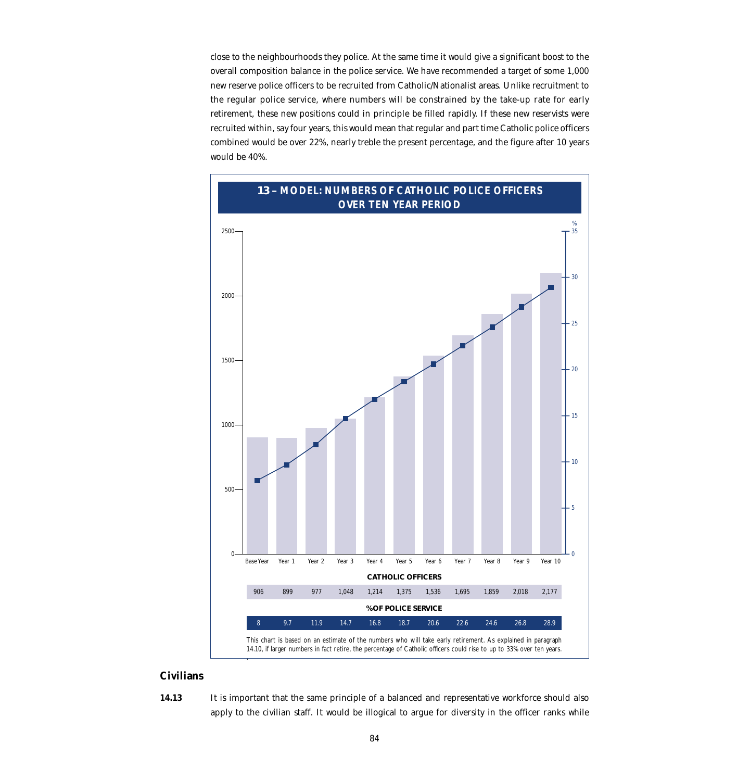close to the neighbourhoods they police. At the same time it would give a significant boost to the overall composition balance in the police service. We have recommended a target of some 1,000 new reserve police officers to be recruited from Catholic/Nationalist areas. Unlike recruitment to the regular police service, where numbers will be constrained by the take-up rate for early retirement, these new positions could in principle be filled rapidly. If these new reservists were recruited within, say four years, this would mean that regular and part time Catholic police officers combined would be over 22%, nearly treble the present percentage, and the figure after 10 years would be 40%.



## **Civilians**

**14.13** It is important that the same principle of a balanced and representative workforce should also apply to the civilian staff. It would be illogical to argue for diversity in the officer ranks while